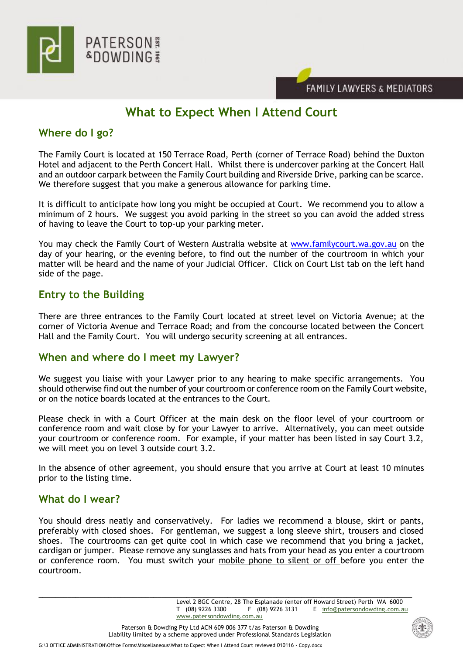



# **What to Expect When I Attend Court**

# **Where do I go?**

The Family Court is located at 150 Terrace Road, Perth (corner of Terrace Road) behind the Duxton Hotel and adjacent to the Perth Concert Hall. Whilst there is undercover parking at the Concert Hall and an outdoor carpark between the Family Court building and Riverside Drive, parking can be scarce. We therefore suggest that you make a generous allowance for parking time.

It is difficult to anticipate how long you might be occupied at Court. We recommend you to allow a minimum of 2 hours. We suggest you avoid parking in the street so you can avoid the added stress of having to leave the Court to top-up your parking meter.

You may check the Family Court of Western Australia website at [www.familycourt.wa.gov.au](http://www.familycourt.wa.gov.au/) on the day of your hearing, or the evening before, to find out the number of the courtroom in which your matter will be heard and the name of your Judicial Officer. Click on Court List tab on the left hand side of the page.

# **Entry to the Building**

There are three entrances to the Family Court located at street level on Victoria Avenue; at the corner of Victoria Avenue and Terrace Road; and from the concourse located between the Concert Hall and the Family Court. You will undergo security screening at all entrances.

#### **When and where do I meet my Lawyer?**

We suggest you liaise with your Lawyer prior to any hearing to make specific arrangements. You should otherwise find out the number of your courtroom or conference room on the Family Court website, or on the notice boards located at the entrances to the Court.

Please check in with a Court Officer at the main desk on the floor level of your courtroom or conference room and wait close by for your Lawyer to arrive. Alternatively, you can meet outside your courtroom or conference room. For example, if your matter has been listed in say Court 3.2, we will meet you on level 3 outside court 3.2.

In the absence of other agreement, you should ensure that you arrive at Court at least 10 minutes prior to the listing time.

#### **What do I wear?**

You should dress neatly and conservatively. For ladies we recommend a blouse, skirt or pants, preferably with closed shoes. For gentleman, we suggest a long sleeve shirt, trousers and closed shoes. The courtrooms can get quite cool in which case we recommend that you bring a jacket, cardigan or jumper. Please remove any sunglasses and hats from your head as you enter a courtroom or conference room. You must switch your mobile phone to silent or off before you enter the courtroom.



G:\3 OFFICE ADMINISTRATION\Office Forms\Miscellaneous\What to Expect When I Attend Court reviewed 010116 - Copy.docx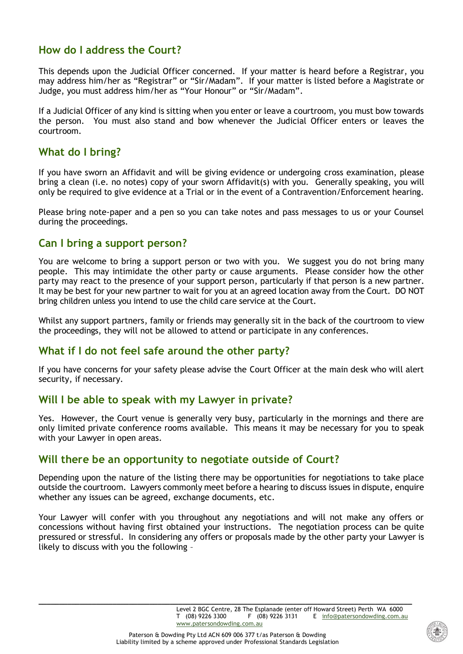# **How do I address the Court?**

This depends upon the Judicial Officer concerned. If your matter is heard before a Registrar, you may address him/her as "Registrar" or "Sir/Madam". If your matter is listed before a Magistrate or Judge, you must address him/her as "Your Honour" or "Sir/Madam".

If a Judicial Officer of any kind is sitting when you enter or leave a courtroom, you must bow towards the person. You must also stand and bow whenever the Judicial Officer enters or leaves the courtroom.

### **What do I bring?**

If you have sworn an Affidavit and will be giving evidence or undergoing cross examination, please bring a clean (i.e. no notes) copy of your sworn Affidavit(s) with you. Generally speaking, you will only be required to give evidence at a Trial or in the event of a Contravention/Enforcement hearing.

Please bring note-paper and a pen so you can take notes and pass messages to us or your Counsel during the proceedings.

#### **Can I bring a support person?**

You are welcome to bring a support person or two with you. We suggest you do not bring many people. This may intimidate the other party or cause arguments. Please consider how the other party may react to the presence of your support person, particularly if that person is a new partner. It may be best for your new partner to wait for you at an agreed location away from the Court. DO NOT bring children unless you intend to use the child care service at the Court.

Whilst any support partners, family or friends may generally sit in the back of the courtroom to view the proceedings, they will not be allowed to attend or participate in any conferences.

# **What if I do not feel safe around the other party?**

If you have concerns for your safety please advise the Court Officer at the main desk who will alert security, if necessary.

#### **Will I be able to speak with my Lawyer in private?**

Yes. However, the Court venue is generally very busy, particularly in the mornings and there are only limited private conference rooms available. This means it may be necessary for you to speak with your Lawyer in open areas.

# **Will there be an opportunity to negotiate outside of Court?**

Depending upon the nature of the listing there may be opportunities for negotiations to take place outside the courtroom. Lawyers commonly meet before a hearing to discuss issues in dispute, enquire whether any issues can be agreed, exchange documents, etc.

Your Lawyer will confer with you throughout any negotiations and will not make any offers or concessions without having first obtained your instructions. The negotiation process can be quite pressured or stressful. In considering any offers or proposals made by the other party your Lawyer is likely to discuss with you the following –

**\_\_\_\_\_\_\_\_\_\_\_\_\_\_\_\_\_\_\_\_\_\_\_\_\_\_\_\_\_\_\_\_\_\_\_\_\_\_\_\_\_\_\_\_\_\_\_\_\_\_\_\_\_\_\_\_\_\_\_\_\_\_\_\_\_\_\_\_\_\_\_\_\_\_\_\_\_\_\_\_\_\_\_\_\_\_\_\_\_\_\_**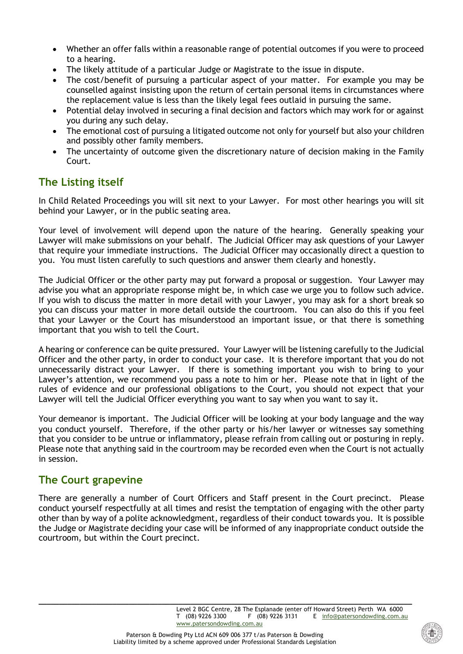- Whether an offer falls within a reasonable range of potential outcomes if you were to proceed to a hearing.
- The likely attitude of a particular Judge or Magistrate to the issue in dispute.
- The cost/benefit of pursuing a particular aspect of your matter. For example you may be counselled against insisting upon the return of certain personal items in circumstances where the replacement value is less than the likely legal fees outlaid in pursuing the same.
- Potential delay involved in securing a final decision and factors which may work for or against you during any such delay.
- The emotional cost of pursuing a litigated outcome not only for yourself but also your children and possibly other family members.
- The uncertainty of outcome given the discretionary nature of decision making in the Family Court.

# **The Listing itself**

In Child Related Proceedings you will sit next to your Lawyer. For most other hearings you will sit behind your Lawyer, or in the public seating area.

Your level of involvement will depend upon the nature of the hearing. Generally speaking your Lawyer will make submissions on your behalf. The Judicial Officer may ask questions of your Lawyer that require your immediate instructions. The Judicial Officer may occasionally direct a question to you. You must listen carefully to such questions and answer them clearly and honestly.

The Judicial Officer or the other party may put forward a proposal or suggestion. Your Lawyer may advise you what an appropriate response might be, in which case we urge you to follow such advice. If you wish to discuss the matter in more detail with your Lawyer, you may ask for a short break so you can discuss your matter in more detail outside the courtroom. You can also do this if you feel that your Lawyer or the Court has misunderstood an important issue, or that there is something important that you wish to tell the Court.

A hearing or conference can be quite pressured. Your Lawyer will be listening carefully to the Judicial Officer and the other party, in order to conduct your case. It is therefore important that you do not unnecessarily distract your Lawyer. If there is something important you wish to bring to your Lawyer's attention, we recommend you pass a note to him or her. Please note that in light of the rules of evidence and our professional obligations to the Court, you should not expect that your Lawyer will tell the Judicial Officer everything you want to say when you want to say it.

Your demeanor is important. The Judicial Officer will be looking at your body language and the way you conduct yourself. Therefore, if the other party or his/her lawyer or witnesses say something that you consider to be untrue or inflammatory, please refrain from calling out or posturing in reply. Please note that anything said in the courtroom may be recorded even when the Court is not actually in session.

# **The Court grapevine**

There are generally a number of Court Officers and Staff present in the Court precinct. Please conduct yourself respectfully at all times and resist the temptation of engaging with the other party other than by way of a polite acknowledgment, regardless of their conduct towards you. It is possible the Judge or Magistrate deciding your case will be informed of any inappropriate conduct outside the courtroom, but within the Court precinct.

**\_\_\_\_\_\_\_\_\_\_\_\_\_\_\_\_\_\_\_\_\_\_\_\_\_\_\_\_\_\_\_\_\_\_\_\_\_\_\_\_\_\_\_\_\_\_\_\_\_\_\_\_\_\_\_\_\_\_\_\_\_\_\_\_\_\_\_\_\_\_\_\_\_\_\_\_\_\_\_\_\_\_\_\_\_\_\_\_\_\_\_**